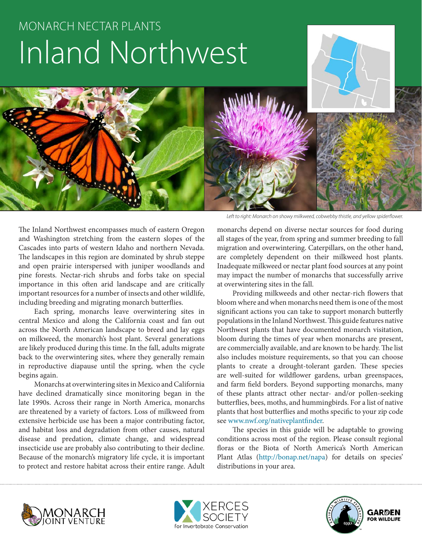# MONARCH NECTAR PLANTS Inland Northwest

The Inland Northwest encompasses much of eastern Oregon and Washington stretching from the eastern slopes of the Cascades into parts of western Idaho and northern Nevada. The landscapes in this region are dominated by shrub steppe and open prairie interspersed with juniper woodlands and pine forests. Nectar-rich shrubs and forbs take on special importance in this often arid landscape and are critically important resources for a number of insects and other wildlife, including breeding and migrating monarch butterflies.

Each spring, monarchs leave overwintering sites in central Mexico and along the California coast and fan out across the North American landscape to breed and lay eggs on milkweed, the monarch's host plant. Several generations are likely produced during this time. In the fall, adults migrate back to the overwintering sites, where they generally remain in reproductive diapause until the spring, when the cycle begins again.

Monarchs at overwintering sites in Mexico and California have declined dramatically since monitoring began in the late 1990s. Across their range in North America, monarchs are threatened by a variety of factors. Loss of milkweed from extensive herbicide use has been a major contributing factor, and habitat loss and degradation from other causes, natural disease and predation, climate change, and widespread insecticide use are probably also contributing to their decline. Because of the monarch's migratory life cycle, it is important to protect and restore habitat across their entire range. Adult

*Left to right: Monarch on showy milkweed, cobwebby thistle, and yellow spiderflower.*

monarchs depend on diverse nectar sources for food during all stages of the year, from spring and summer breeding to fall migration and overwintering. Caterpillars, on the other hand, are completely dependent on their milkweed host plants. Inadequate milkweed or nectar plant food sources at any point may impact the number of monarchs that successfully arrive at overwintering sites in the fall.

Providing milkweeds and other nectar-rich flowers that bloom where and when monarchs need them is one of the most significant actions you can take to support monarch butterfly populations in the Inland Northwest. This guide features native Northwest plants that have documented monarch visitation, bloom during the times of year when monarchs are present, are commercially available, and are known to be hardy. The list also includes moisture requirements, so that you can choose plants to create a drought-tolerant garden. These species are well-suited for wildflower gardens, urban greenspaces, and farm field borders. Beyond supporting monarchs, many of these plants attract other nectar- and/or pollen-seeking butterflies, bees, moths, and hummingbirds. For a list of native plants that host butterflies and moths specific to your zip code see www.nwf.org/nativeplantfinder.

The species in this guide will be adaptable to growing conditions across most of the region. Please consult regional floras or the Biota of North America's North American Plant Atlas (http://bonap.net/napa) for details on species' distributions in your area.





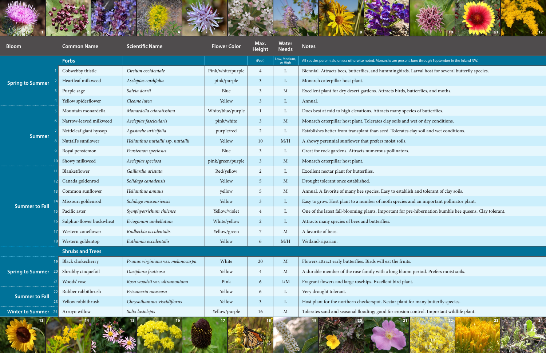



| <b>Bloom</b>                                      | <b>Common Name</b>       | <b>Scientific Name</b>              | <b>Flower Color</b> | Max.<br><b>Height</b> | <b>Water</b><br><b>Needs</b> | <b>Notes</b>                                                            |
|---------------------------------------------------|--------------------------|-------------------------------------|---------------------|-----------------------|------------------------------|-------------------------------------------------------------------------|
| <b>Spring to Summer</b>                           | <b>Forbs</b>             |                                     |                     | (Feet)                | Low, Medium,<br>or High      | All species perennials, unless otherwise noted. Monarchs are present Ju |
|                                                   | Cobwebby thistle         | Cirsium occidentale                 | Pink/white/purple   | $\overline{4}$        | L                            | Biennial. Attracts bees, butterflies, and hummingbirds. I               |
|                                                   | Heartleaf milkweed       | Asclepias cordifolia                | pink/purple         | 3 <sup>2</sup>        | $\mathbf{L}$                 | Monarch caterpillar host plant.                                         |
|                                                   | Purple sage              | Salvia dorrii                       | Blue                | $\mathfrak{Z}$        | M                            | Excellent plant for dry desert gardens. Attracts birds, but             |
|                                                   | Yellow spiderflower      | Cleome lutea                        | Yellow              | 3 <sup>2</sup>        | $\mathbf{L}$                 | Annual.                                                                 |
| <b>Summer</b>                                     | Mountain monardella      | Monardella odoratissima             | White/blue/purple   |                       | L                            | Does best at mid to high elevations. Attracts many species              |
|                                                   | Narrow-leaved milkweed   | Asclepias fascicularis              | pink/white          | 3 <sup>2</sup>        | M                            | Monarch caterpillar host plant. Tolerates clay soils and w              |
|                                                   | Nettleleaf giant hyssop  | Agastache urticifolia               | purple/red          | $\overline{2}$        | L                            | Establishes better from transplant than seed. Tolerates cl              |
|                                                   | Nuttall's sunflower      | Helianthus nuttallii ssp. nuttallii | Yellow              | 10                    | M/H                          | A showy perennial sunflower that prefers moist soils.                   |
|                                                   | Royal penstemon          | Penstemon speciosus                 | Blue                | $\mathfrak{Z}$        | L                            | Great for rock gardens. Attracts numerous pollinators.                  |
|                                                   | Showy milkweed           | Asclepias speciosa                  | pink/green/purple   | 3 <sup>1</sup>        | $\mathbf M$                  | Monarch caterpillar host plant.                                         |
| 11<br> 12 <br> 13 <br><b>Summer to Fall</b><br>15 | Blanketflower            | Gaillardia aristata                 | Red/yellow          | $\overline{2}$        | L                            | Excellent nectar plant for butterflies.                                 |
|                                                   | Canada goldenrod         | Solidago canadensis                 | Yellow              | 5 <sup>5</sup>        | M                            | Drought tolerant once established.                                      |
|                                                   | Common sunflower         | Helianthus annuus                   | yellow              | 5                     | M                            | Annual. A favorite of many bee species. Easy to establish               |
|                                                   | Missouri goldenrod       | Solidago missouriensis              | Yellow              | 3 <sup>1</sup>        | $\Gamma$                     | Easy to grow. Host plant to a number of moth species an                 |
|                                                   | Pacific aster            | Symphyotrichum chilense             | Yellow/violet       | $\overline{4}$        | $\mathbf{L}$                 | One of the latest fall-blooming plants. Important for pre               |
|                                                   | Sulphur-flower buckwheat | Eriogonum umbellatum                | White/yellow        | $\overline{2}$        | L                            | Attracts many species of bees and butterflies.                          |
|                                                   | Western coneflower       | Rudbeckia occidentalis              | Yellow/green        |                       | M                            | A favorite of bees.                                                     |
|                                                   | 18 Western goldentop     | Euthamia occidentalis               | Yellow              | 6                     | M/H                          | Wetland-riparian.                                                       |
|                                                   | <b>Shrubs and Trees</b>  |                                     |                     |                       |                              |                                                                         |
| 19<br><b>Spring to Summer</b><br><b>20</b>        | <b>Black</b> chokecherry | Prunus virginiana var. melanocarpa  | White               | 20                    | $\mathbf M$                  | Flowers attract early butterflies. Birds will eat the fruits.           |
|                                                   | Shrubby cinquefoil       | Dasiphora fruticosa                 | Yellow              | $\overline{4}$        | M                            | A durable member of the rose family with a long bloom                   |
|                                                   | Woods' rose              | Rosa woodsii var. ultramontana      | Pink                | 6                     | L/M                          | Fragrant flowers and large rosehips. Excellent bird plant.              |
| <b>Summer to Fall</b>                             | Rubber rabbitbrush       | Ericameria nauseosa                 | Yellow              | 6                     | $\mathbf{L}$                 | Very drought tolerant.                                                  |
|                                                   | Yellow rabbitbrush       | Chrysothamnus viscidiflorus         | Yellow              | 3 <sup>2</sup>        | $\Gamma$                     | Host plant for the northern checkerspot. Nectar plant for               |
| <b>Winter to Summer</b><br>24                     | Arroyo willow            | Salix lasiolepis                    | Yellow/purple       | 16                    | M                            | Tolerates sand and seasonal flooding; good for erosion co               |

esent June through September in the Inland NW.

irds. Larval host for several butterfly species.

ds, butterflies, and moths.

species of butterflies.

and wet or dry conditions.

ates clay soil and wet conditions.

tablish and tolerant of clay soils.

14 Missouri goldenrod *Solidago missouriensis* Yellow 3 L Easy to grow. Host plant to a number of moth species and an important pollinator plant.

 $\frac{1}{\sqrt{2}}$  bether is the symphyote of the latest faller and the latest faller and the latest for pre-hibernation bumble bee queens. Clay tolerant.

 $1$ loom period. Prefers moist soils.

ant for many butterfly species.

 $S$  sion control. Important wildlife plant.